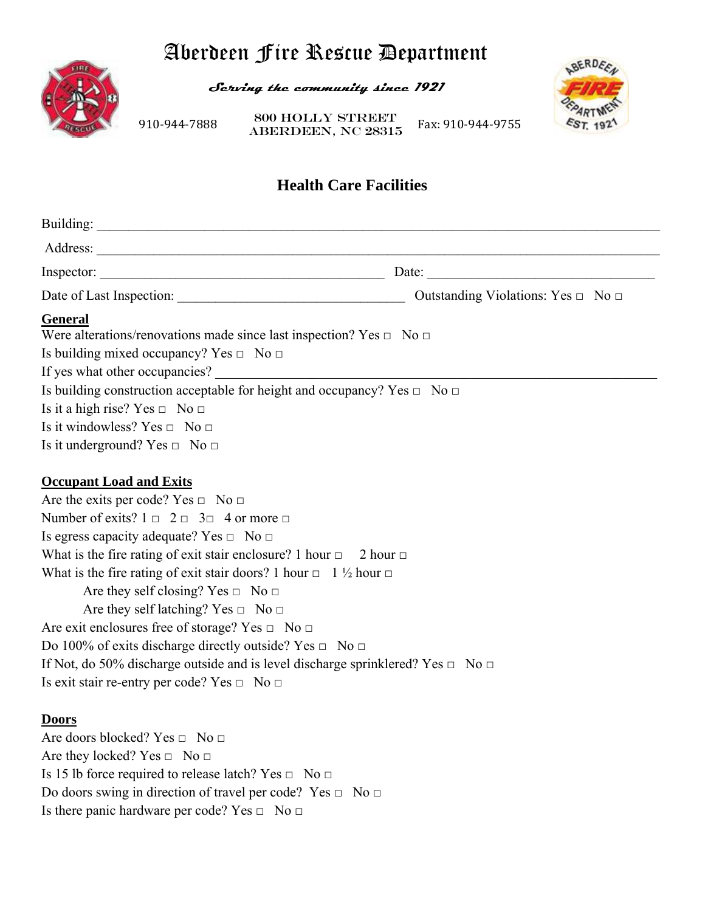# Aberdeen Fire Rescue Department



**Serving the community since 1921** 

910‐944‐7888 **ABERDEEN, NC 28315** Fax: 910‐944‐9755 800 Holly Street



# **Health Care Facilities**

| Inspector: $\qquad \qquad$                                                                                                                                                                                                                                                                                                                                                                                                                                                                                                                                                                                                                                                                                                                                                   | Date: $\qquad \qquad$ |
|------------------------------------------------------------------------------------------------------------------------------------------------------------------------------------------------------------------------------------------------------------------------------------------------------------------------------------------------------------------------------------------------------------------------------------------------------------------------------------------------------------------------------------------------------------------------------------------------------------------------------------------------------------------------------------------------------------------------------------------------------------------------------|-----------------------|
|                                                                                                                                                                                                                                                                                                                                                                                                                                                                                                                                                                                                                                                                                                                                                                              |                       |
| General<br>Were alterations/renovations made since last inspection? Yes $\Box$ No $\Box$<br>Is building mixed occupancy? Yes $\Box$ No $\Box$<br>Is building construction acceptable for height and occupancy? Yes $\Box$ No $\Box$<br>Is it a high rise? Yes $\Box$ No $\Box$<br>Is it windowless? Yes $\Box$ No $\Box$<br>Is it underground? Yes $\Box$ No $\Box$                                                                                                                                                                                                                                                                                                                                                                                                          |                       |
| <b>Occupant Load and Exits</b><br>Are the exits per code? Yes $\Box$ No $\Box$<br>Number of exits? $1 \square 2 \square 3 \square 4$ or more $\square$<br>Is egress capacity adequate? Yes $\Box$ No $\Box$<br>What is the fire rating of exit stair enclosure? 1 hour $\Box$ 2 hour $\Box$<br>What is the fire rating of exit stair doors? 1 hour $\Box$ 1 $\frac{1}{2}$ hour $\Box$<br>Are they self closing? Yes $\Box$ No $\Box$<br>Are they self latching? Yes $\Box$ No $\Box$<br>Are exit enclosures free of storage? Yes $\Box$ No $\Box$<br>Do 100% of exits discharge directly outside? Yes $\Box$ No $\Box$<br>If Not, do 50% discharge outside and is level discharge sprinklered? Yes $\Box$ No $\Box$<br>Is exit stair re-entry per code? Yes $\Box$ No $\Box$ |                       |
| <b>Doors</b><br>Are doors blocked? Yes □ No □<br>Are they locked? Yes $\Box$ No $\Box$<br>Is 15 lb force required to release latch? Yes $\Box$ No $\Box$<br>Do doors swing in direction of travel per code? Yes $\Box$ No $\Box$<br>Is there panic hardware per code? Yes $\Box$ No $\Box$                                                                                                                                                                                                                                                                                                                                                                                                                                                                                   |                       |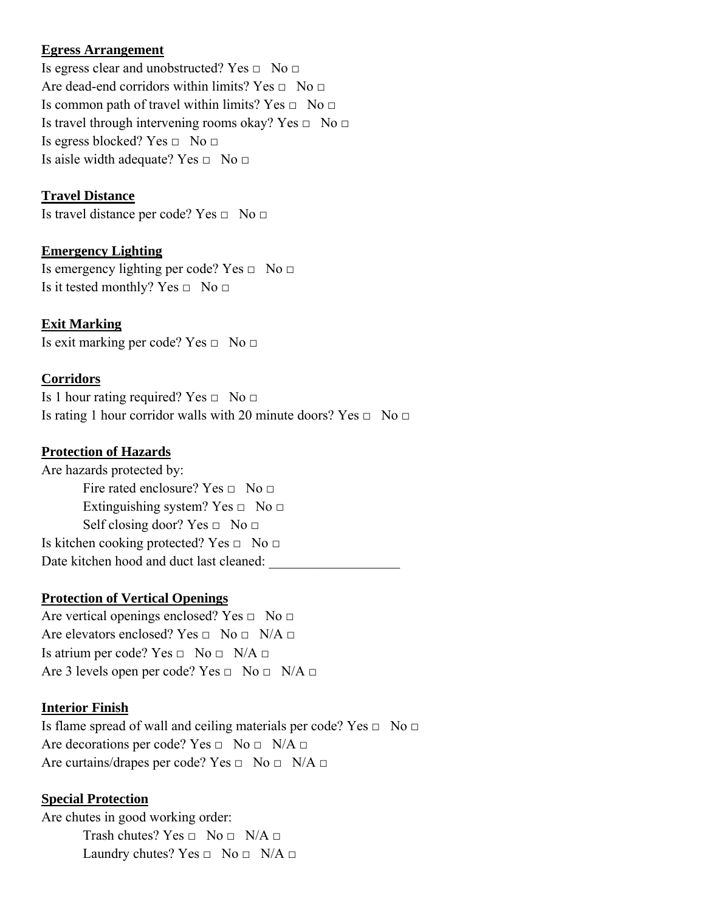# **Egress Arrangement**

Is egress clear and unobstructed? Yes  $\Box$  No  $\Box$ Are dead-end corridors within limits? Yes  $\Box$  No  $\Box$ Is common path of travel within limits? Yes  $\Box$  No  $\Box$ Is travel through intervening rooms okay? Yes  $\Box$  No  $\Box$ Is egress blocked? Yes  $\Box$  No  $\Box$ Is aisle width adequate? Yes  $\Box$  No  $\Box$ 

# **Travel Distance**

Is travel distance per code? Yes □ No □

# **Emergency Lighting**

Is emergency lighting per code? Yes  $\Box$  No  $\Box$ Is it tested monthly? Yes  $\Box$  No  $\Box$ 

# **Exit Marking**

Is exit marking per code? Yes  $\Box$  No  $\Box$ 

# **Corridors**

Is 1 hour rating required? Yes  $\Box$  No  $\Box$ Is rating 1 hour corridor walls with 20 minute doors? Yes  $\Box$  No  $\Box$ 

# **Protection of Hazards**

Are hazards protected by: Fire rated enclosure? Yes  $\Box$  No  $\Box$ Extinguishing system? Yes  $\Box$  No  $\Box$ Self closing door? Yes  $\Box$  No  $\Box$ Is kitchen cooking protected? Yes  $\Box$  No  $\Box$ Date kitchen hood and duct last cleaned:

# **Protection of Vertical Openings**

Are vertical openings enclosed? Yes  $\Box$  No  $\Box$ Are elevators enclosed? Yes  $\Box$  No  $\Box$  N/A  $\Box$ Is atrium per code? Yes  $\Box$  No  $\Box$  N/A  $\Box$ Are 3 levels open per code? Yes  $\Box$  No  $\Box$  N/A  $\Box$ 

#### **Interior Finish**

Is flame spread of wall and ceiling materials per code? Yes  $\Box$  No  $\Box$ Are decorations per code? Yes  $\Box$  No  $\Box$  N/A  $\Box$ Are curtains/drapes per code? Yes  $\Box$  No  $\Box$  N/A  $\Box$ 

#### **Special Protection**

Are chutes in good working order: Trash chutes? Yes  $\Box$  No  $\Box$  N/A  $\Box$ Laundry chutes? Yes  $\Box$  No  $\Box$  N/A  $\Box$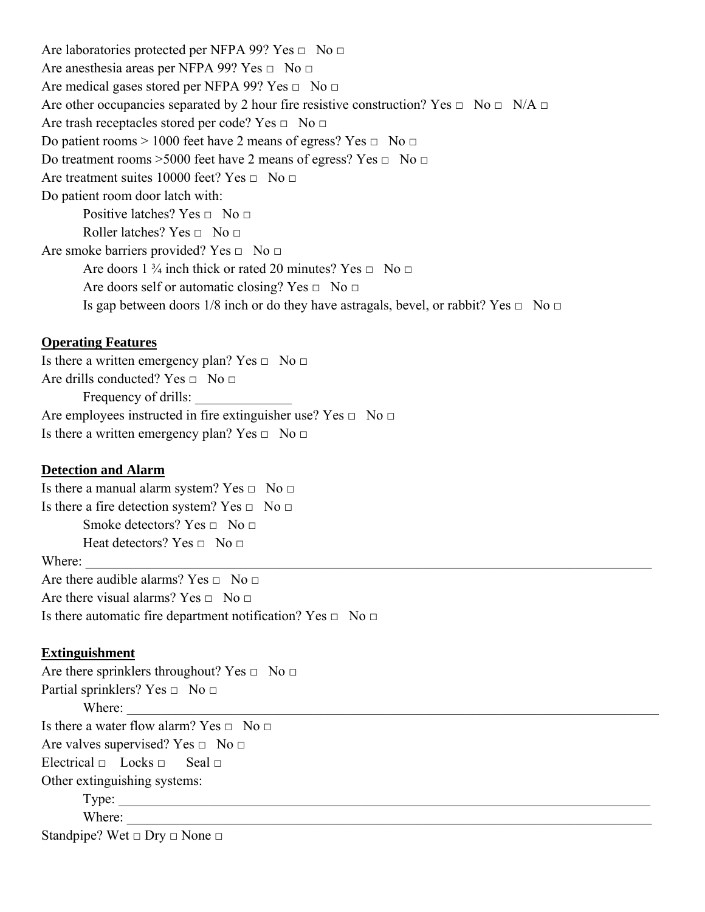Are laboratories protected per NFPA 99? Yes  $\Box$  No  $\Box$ Are anesthesia areas per NFPA 99? Yes  $\Box$  No  $\Box$ Are medical gases stored per NFPA 99? Yes  $\Box$  No  $\Box$ Are other occupancies separated by 2 hour fire resistive construction? Yes  $\Box$  No  $\Box$  N/A  $\Box$ Are trash receptacles stored per code? Yes  $\Box$  No  $\Box$ Do patient rooms > 1000 feet have 2 means of egress? Yes  $\Box$  No  $\Box$ Do treatment rooms >5000 feet have 2 means of egress? Yes □ No □ Are treatment suites 10000 feet? Yes  $\Box$  No  $\Box$ Do patient room door latch with: Positive latches? Yes  $\Box$  No  $\Box$ Roller latches? Yes  $\Box$  No  $\Box$ Are smoke barriers provided? Yes  $\Box$  No  $\Box$ Are doors 1  $\frac{3}{4}$  inch thick or rated 20 minutes? Yes  $\Box$  No  $\Box$ Are doors self or automatic closing? Yes  $\Box$  No  $\Box$ Is gap between doors 1/8 inch or do they have astragals, bevel, or rabbit? Yes  $\Box$  No  $\Box$ 

# **Operating Features**

Is there a written emergency plan? Yes  $\Box$  No  $\Box$ Are drills conducted? Yes  $\Box$  No  $\Box$ Frequency of drills: Are employees instructed in fire extinguisher use? Yes  $\Box$  No  $\Box$ Is there a written emergency plan? Yes  $\Box$  No  $\Box$ 

#### **Detection and Alarm**

Is there a manual alarm system? Yes  $\Box$  No  $\Box$ Is there a fire detection system? Yes  $\Box$  No  $\Box$ Smoke detectors? Yes  $\Box$  No  $\Box$ Heat detectors? Yes  $\Box$  No  $\Box$ Where: Are there audible alarms? Yes  $\Box$  No  $\Box$ 

Are there visual alarms? Yes  $\Box$  No  $\Box$ 

Is there automatic fire department notification? Yes  $\Box$  No  $\Box$ 

#### **Extinguishment**

Are there sprinklers throughout? Yes  $\Box$  No  $\Box$ Partial sprinklers? Yes  $\Box$  No  $\Box$ Where: Is there a water flow alarm? Yes  $\Box$  No  $\Box$ Are valves supervised? Yes  $\Box$  No  $\Box$ Electrical  $\Box$  Locks  $\Box$  Seal  $\Box$ Other extinguishing systems: Type: \_\_\_\_\_\_\_\_\_\_\_\_\_\_\_\_\_\_\_\_\_\_\_\_\_\_\_\_\_\_\_\_\_\_\_\_\_\_\_\_\_\_\_\_\_\_\_\_\_\_\_\_\_\_\_\_\_\_\_\_\_\_\_\_\_\_\_\_\_\_\_\_\_\_\_\_\_ Where:

Standpipe? Wet  $\Box$  Dry  $\Box$  None  $\Box$